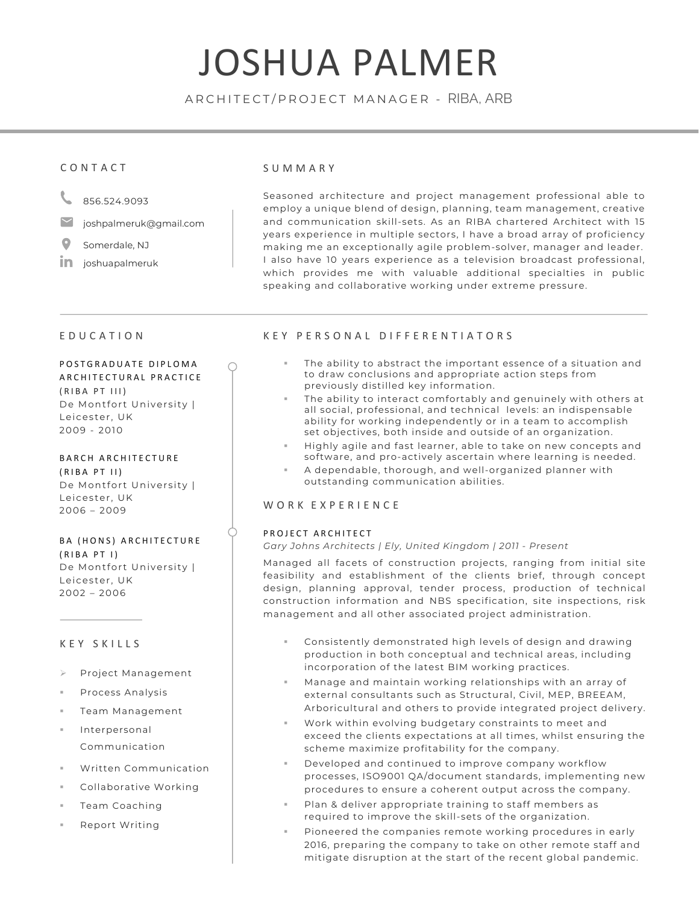## JOSHUA PALMER

ARCHITECT /PROJECT MANAGER - RIBA, ARB

## CONTACT

- 856.524.9093
- joshpalmeruk@gmail.com
- O Somerdale, NJ
- in joshuapalmeruk

#### SUMMARY

Seasoned architecture and project management professional able to employ a unique blend of design, planning, team management, creative and communication skill-sets. As an RIBA chartered Architect with 15 years experience in multiple sectors, I have a broad array of proficiency making me an exceptionally agile problem-solver, manager and leader. I also have 10 years experience as a television broadcast professional, which provides me with valuable additional specialties in public speaking and collaborative working under extreme pressure.

## EDUCATION

#### P OSTGRADUATE DIPLOMA ARCHITECTURAL PRACTICE

(RIBA PT III) De Montfort University | Leicester, UK 2009 - 2010

BARCH ARCHITECTURE (RIBA PT II) De Montfort University | Leicester, UK 2006 – 2009

### BA (HONS) ARCHITECTURE (RIBA PT I) De Montfort University | Leicester, UK 2002 – 2006

## KEY SKILLS

- Ø Project Management
- § Process Analysis
- § Team Management
- **Interpersonal** Communication
- § Written Communication
- § Collaborative Working
- § Team Coaching
- § Report Writing

## KEY PERSONAL DIFFERENTIATORS

- The ability to abstract the important essence of a situation and to draw conclusions and appropriate action steps from previously distilled key information.
- The ability to interact comfortably and genuinely with others at all social, professional, and technical levels: an indispensable ability for working independently or in a team to accomplish set objectives, both inside and outside of an organization.
- Highly agile and fast learner, able to take on new concepts and software, and pro-actively ascertain where learning is needed.
- § A dependable, thorough, and well-organized planner with outstanding communication abilities.

## WORK EXPERIENCE

#### PROJECT ARCHITECT

#### *Gary Johns Architects | Ely, United Kingdom | 2011 - Present*

Managed all facets of construction projects, ranging from initial site feasibility and establishment of the clients brief, through concept design, planning approval, tender process, production of technical construction information and NBS specification, site inspections, risk management and all other associated project administration.

- § Consistently demonstrated high levels of design and drawing production in both conceptual and technical areas, including incorporation of the latest BIM working practices.
- § Manage and maintain working relationships with an array of external consultants such as Structural, Civil, MEP, BREEAM, Arboricultural and others to provide integrated project delivery.
- § Work within evolving budgetary constraints to meet and exceed the clients expectations at all times, whilst ensuring the scheme maximize profitability for the company.
- Developed and continued to improve company workflow processes, ISO9001 QA/document standards, implementing new procedures to ensure a coherent output across the company.
- Plan & deliver appropriate training to staff members as required to improve the skill-sets of the organization.
- Pioneered the companies remote working procedures in early 2016, preparing the company to take on other remote staff and mitigate disruption at the start of the recent global pandemic.